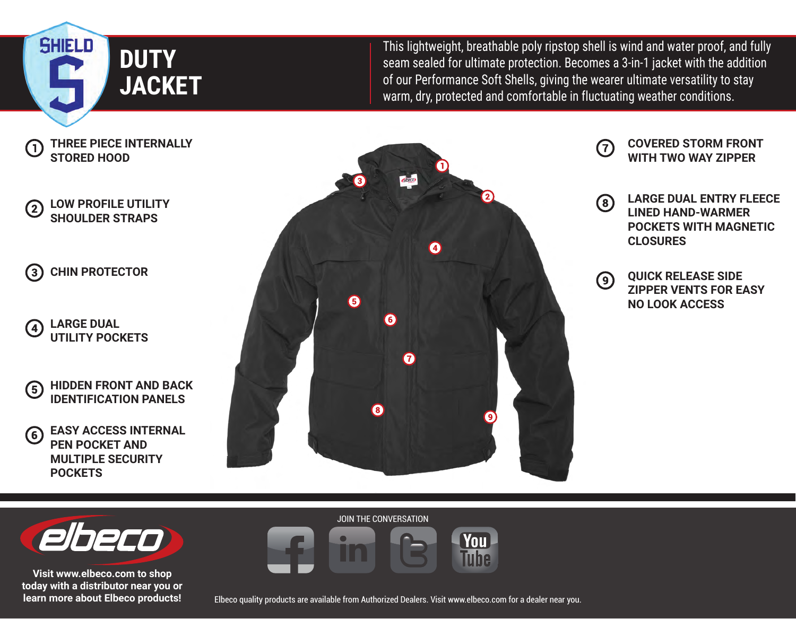

This lightweight, breathable poly ripstop shell is wind and water proof, and fully seam sealed for ultimate protection. Becomes a 3-in-1 jacket with the addition of our Performance Soft Shells, giving the wearer ultimate versatility to stay warm, dry, protected and comfortable in fluctuating weather conditions.



#### **LOW PROFILE UTILITY**   $(2)$ **SHOULDER STRAPS**

**CHIN PROTECTOR**  $(3)$ 

- **LARGE DUAL**   $\boldsymbol{4}$ **UTILITY POCKETS**
- **HIDDEN FRONT AND BACK**   $\left(5\right)$ **IDENTIFICATION PANELS**
- **EASY ACCESS INTERNAL**  (6) **PEN POCKET AND MULTIPLE SECURITY POCKETS**



- **COVERED STORM FRONT**  7 **WITH TWO WAY ZIPPER**
- **LARGE DUAL ENTRY FLEECE**   $\left(8\right)$ **LINED HAND-WARMER POCKETS WITH MAGNETIC CLOSURES**
- **QUICK RELEASE SIDE**   $\odot$ **ZIPPER VENTS FOR EASY NO LOOK ACCESS**



**Visit www.elbeco.com to shop today with a distributor near you or learn more about Elbeco products!**

Elbeco quality products are available from Authorized Dealers. Visit www.elbeco.com for a dealer near you.

**You Tube** 

JOIN THE CONVERSATION